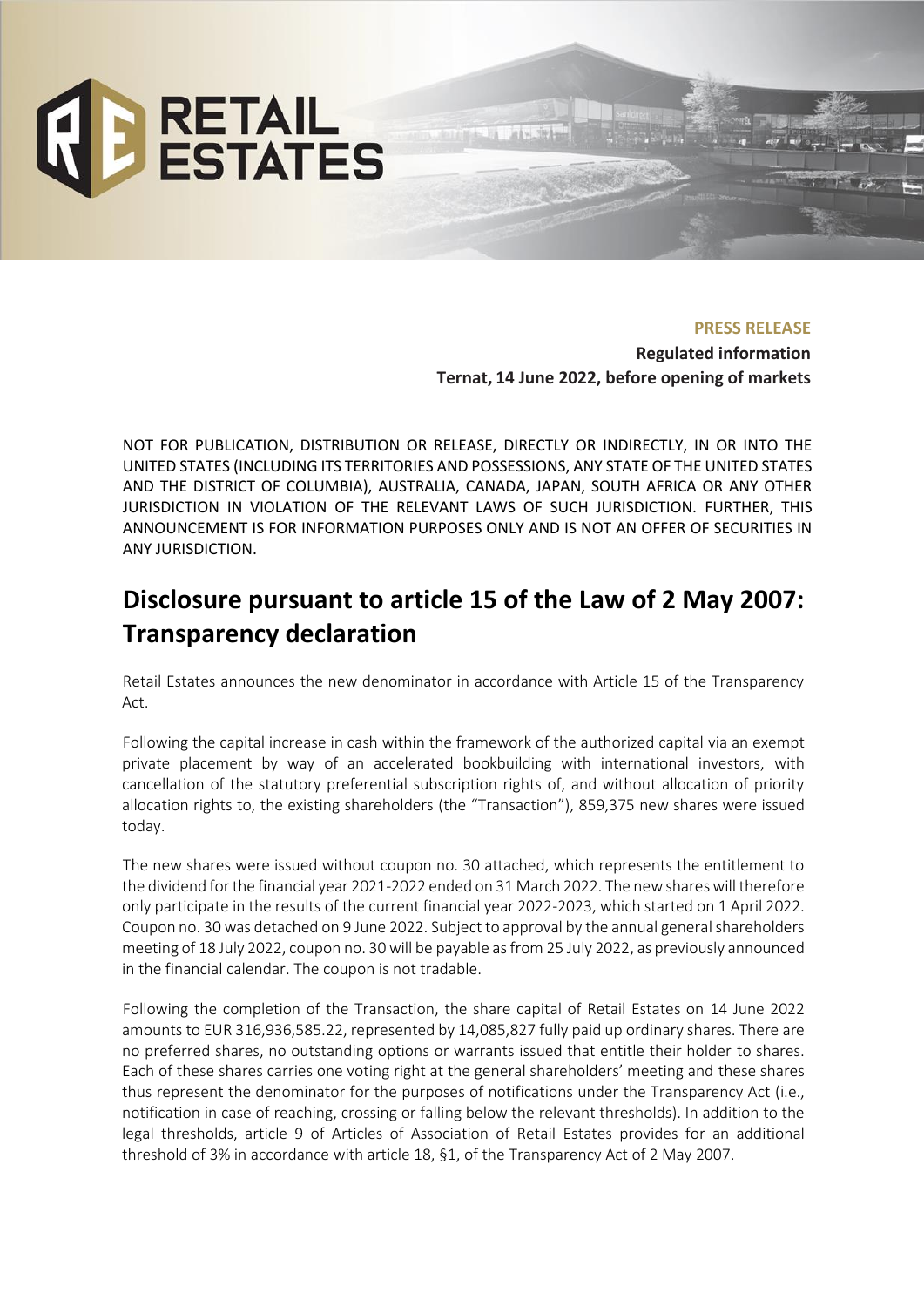

**PRESS RELEASE Regulated information Ternat, 14 June 2022, before opening of markets**

NOT FOR PUBLICATION, DISTRIBUTION OR RELEASE, DIRECTLY OR INDIRECTLY, IN OR INTO THE UNITED STATES (INCLUDING ITS TERRITORIES AND POSSESSIONS, ANY STATE OF THE UNITED STATES AND THE DISTRICT OF COLUMBIA), AUSTRALIA, CANADA, JAPAN, SOUTH AFRICA OR ANY OTHER JURISDICTION IN VIOLATION OF THE RELEVANT LAWS OF SUCH JURISDICTION. FURTHER, THIS ANNOUNCEMENT IS FOR INFORMATION PURPOSES ONLY AND IS NOT AN OFFER OF SECURITIES IN ANY JURISDICTION.

## **Disclosure pursuant to article 15 of the Law of 2 May 2007: Transparency declaration**

Retail Estates announces the new denominator in accordance with Article 15 of the Transparency Act.

Following the capital increase in cash within the framework of the authorized capital via an exempt private placement by way of an accelerated bookbuilding with international investors, with cancellation of the statutory preferential subscription rights of, and without allocation of priority allocation rights to, the existing shareholders (the "Transaction"), 859,375 new shares were issued today.

The new shares were issued without coupon no. 30 attached, which represents the entitlement to the dividend for the financial year 2021-2022 ended on 31 March 2022. The new shares will therefore only participate in the results of the current financial year 2022-2023, which started on 1 April 2022. Coupon no. 30 was detached on 9 June 2022. Subject to approval by the annual general shareholders meeting of 18 July 2022, coupon no. 30 will be payable as from 25 July 2022, as previously announced in the financial calendar. The coupon is not tradable.

Following the completion of the Transaction, the share capital of Retail Estates on 14 June 2022 amounts to EUR 316,936,585.22, represented by 14,085,827 fully paid up ordinary shares. There are no preferred shares, no outstanding options or warrants issued that entitle their holder to shares. Each of these shares carries one voting right at the general shareholders' meeting and these shares thus represent the denominator for the purposes of notifications under the Transparency Act (i.e., notification in case of reaching, crossing or falling below the relevant thresholds). In addition to the legal thresholds, article 9 of Articles of Association of Retail Estates provides for an additional threshold of 3% in accordance with article 18, §1, of the Transparency Act of 2 May 2007.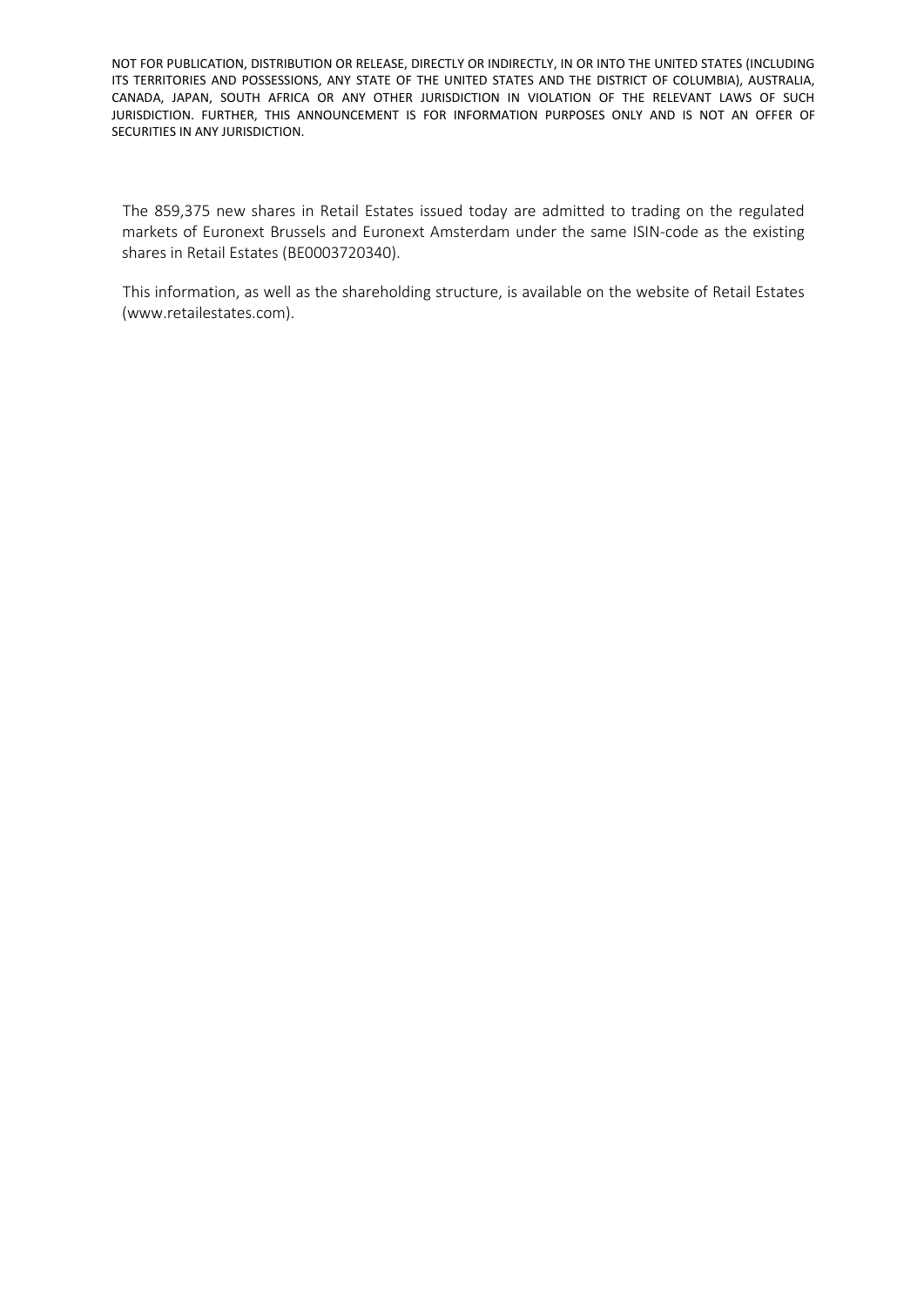The 859,375 new shares in Retail Estates issued today are admitted to trading on the regulated markets of Euronext Brussels and Euronext Amsterdam under the same ISIN-code as the existing shares in Retail Estates (BE0003720340).

This information, as well as the shareholding structure, is available on the website of Retail Estates (www.retailestates.com).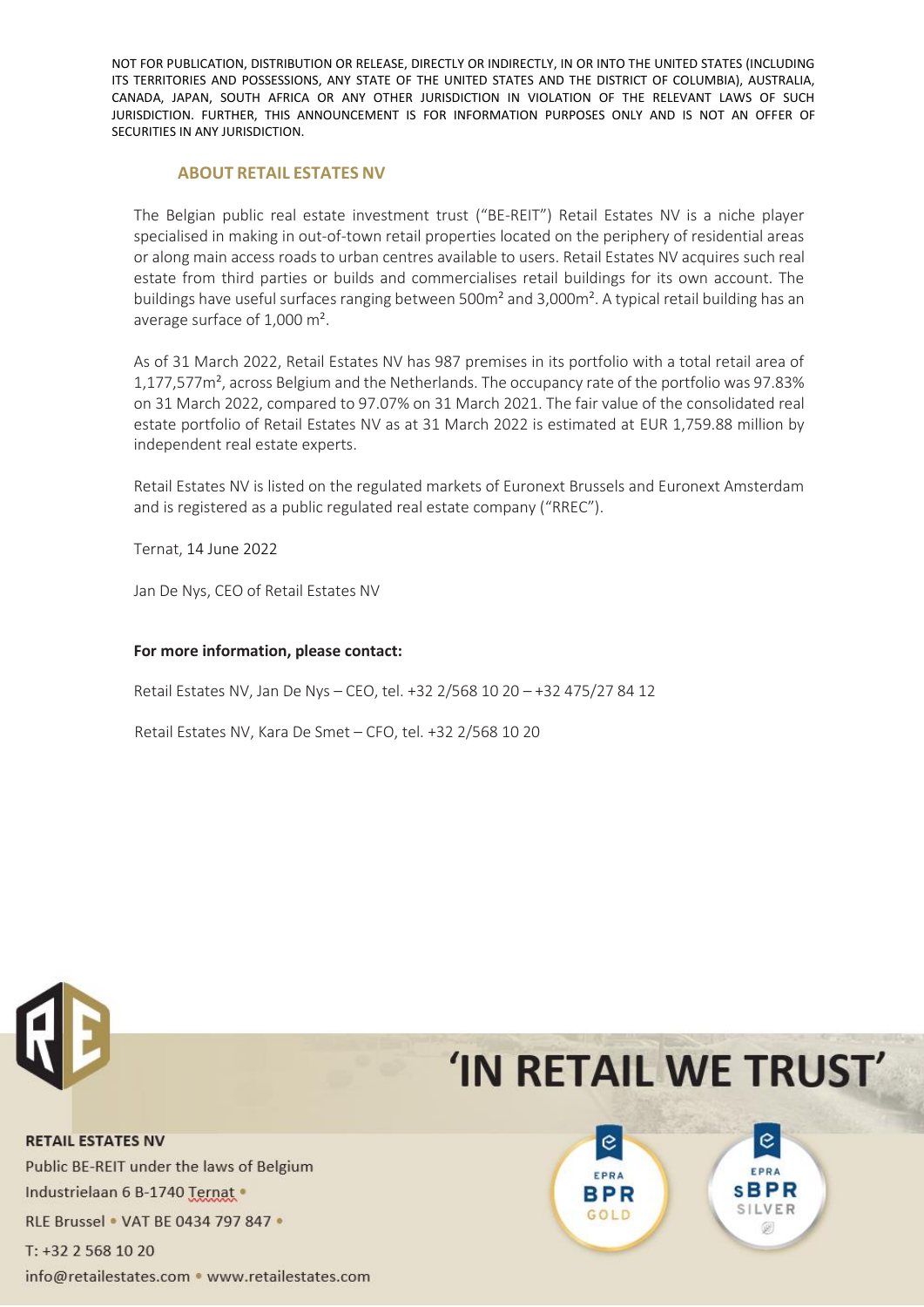### **ABOUT RETAIL ESTATES NV**

The Belgian public real estate investment trust ("BE-REIT") Retail Estates NV is a niche player specialised in making in out-of-town retail properties located on the periphery of residential areas or along main access roads to urban centres available to users. Retail Estates NV acquires such real estate from third parties or builds and commercialises retail buildings for its own account. The buildings have useful surfaces ranging between 500m² and 3,000m². A typical retail building has an average surface of 1,000 m².

As of 31 March 2022, Retail Estates NV has 987 premises in its portfolio with a total retail area of 1,177,577m², across Belgium and the Netherlands. The occupancy rate of the portfolio was 97.83% on 31 March 2022, compared to 97.07% on 31 March 2021. The fair value of the consolidated real estate portfolio of Retail Estates NV as at 31 March 2022 is estimated at EUR 1,759.88 million by independent real estate experts.

Retail Estates NV is listed on the regulated markets of Euronext Brussels and Euronext Amsterdam and is registered as a public regulated real estate company ("RREC").

Ternat, 14 June 2022

Jan De Nys, CEO of Retail Estates NV

### **For more information, please contact:**

Retail Estates NV, Jan De Nys – CEO, tel. +32 2/568 10 20 – +32 475/27 84 12

Retail Estates NV, Kara De Smet – CFO, tel. +32 2/568 10 20



# 'IN RETAIL WE TRUST'

**RETAIL ESTATES NV** Public BE-REIT under the laws of Belgium Industrielaan 6 B-1740 Ternat . RLE Brussel . VAT BE 0434 797 847 . T: +32 2 568 10 20 info@retailestates.com • www.retailestates.com

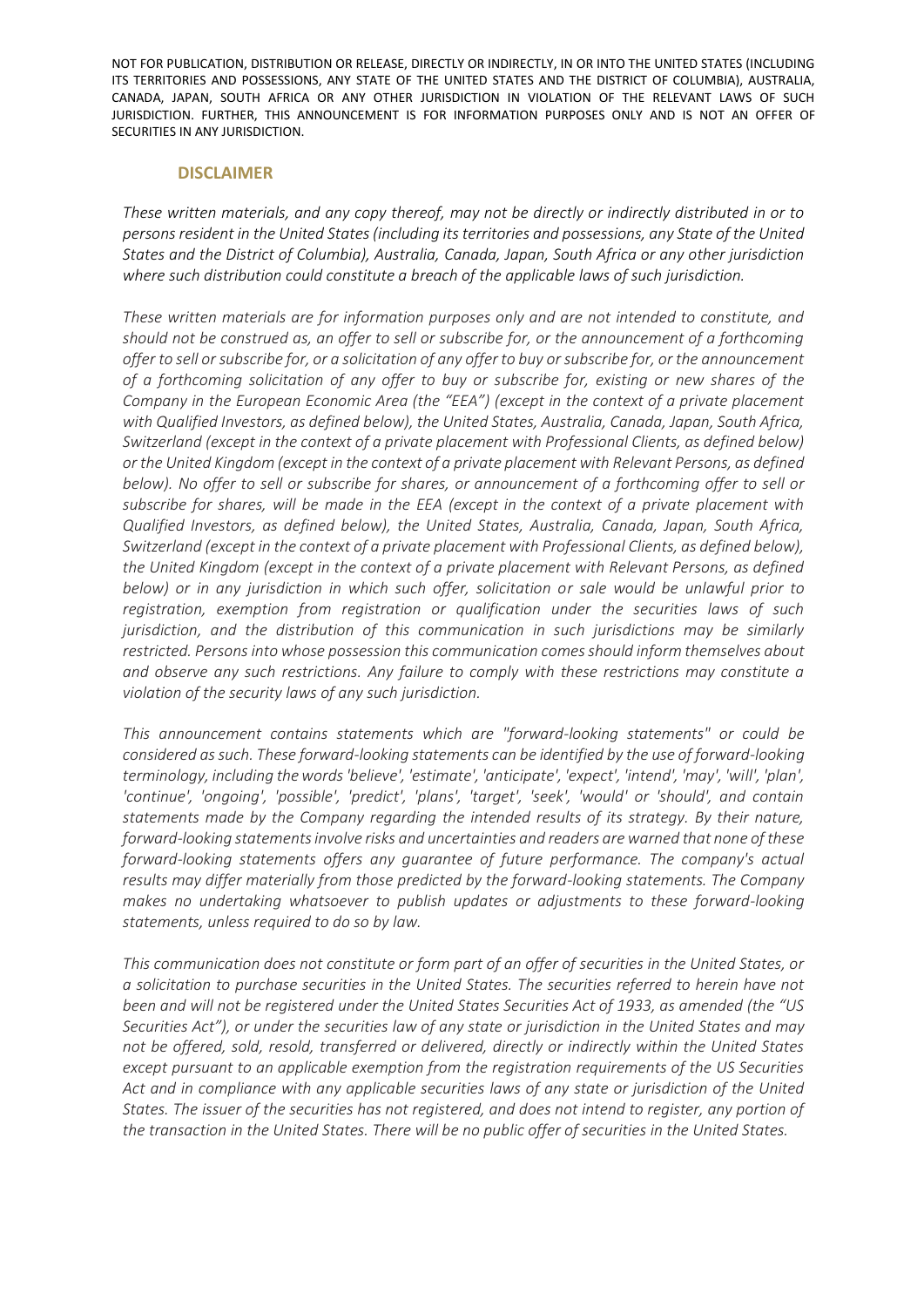#### **DISCLAIMER**

*These written materials, and any copy thereof, may not be directly or indirectly distributed in or to persons resident in the United States (including its territories and possessions, any State of the United States and the District of Columbia), Australia, Canada, Japan, South Africa or any other jurisdiction where such distribution could constitute a breach of the applicable laws of such jurisdiction.* 

*These written materials are for information purposes only and are not intended to constitute, and should not be construed as, an offer to sell or subscribe for, or the announcement of a forthcoming offer to sell or subscribe for, or a solicitation of any offer to buy or subscribe for, or the announcement of a forthcoming solicitation of any offer to buy or subscribe for, existing or new shares of the Company in the European Economic Area (the "EEA") (except in the context of a private placement with Qualified Investors, as defined below), the United States, Australia, Canada, Japan, South Africa, Switzerland (except in the context of a private placement with Professional Clients, as defined below) or the United Kingdom (except in the context of a private placement with Relevant Persons, as defined below). No offer to sell or subscribe for shares, or announcement of a forthcoming offer to sell or subscribe for shares, will be made in the EEA (except in the context of a private placement with Qualified Investors, as defined below), the United States, Australia, Canada, Japan, South Africa, Switzerland (except in the context of a private placement with Professional Clients, as defined below), the United Kingdom (except in the context of a private placement with Relevant Persons, as defined below) or in any jurisdiction in which such offer, solicitation or sale would be unlawful prior to registration, exemption from registration or qualification under the securities laws of such jurisdiction, and the distribution of this communication in such jurisdictions may be similarly restricted. Persons into whose possession this communication comes should inform themselves about and observe any such restrictions. Any failure to comply with these restrictions may constitute a violation of the security laws of any such jurisdiction.* 

*This announcement contains statements which are "forward-looking statements" or could be considered as such. These forward-looking statements can be identified by the use of forward-looking terminology, including the words 'believe', 'estimate', 'anticipate', 'expect', 'intend', 'may', 'will', 'plan', 'continue', 'ongoing', 'possible', 'predict', 'plans', 'target', 'seek', 'would' or 'should', and contain statements made by the Company regarding the intended results of its strategy. By their nature, forward-looking statements involve risks and uncertainties and readers are warned that none of these forward-looking statements offers any guarantee of future performance. The company's actual results may differ materially from those predicted by the forward-looking statements. The Company makes no undertaking whatsoever to publish updates or adjustments to these forward-looking statements, unless required to do so by law.*

*This communication does not constitute or form part of an offer of securities in the United States, or a solicitation to purchase securities in the United States. The securities referred to herein have not been and will not be registered under the United States Securities Act of 1933, as amended (the "US Securities Act"), or under the securities law of any state or jurisdiction in the United States and may not be offered, sold, resold, transferred or delivered, directly or indirectly within the United States except pursuant to an applicable exemption from the registration requirements of the US Securities Act and in compliance with any applicable securities laws of any state or jurisdiction of the United States. The issuer of the securities has not registered, and does not intend to register, any portion of the transaction in the United States. There will be no public offer of securities in the United States.*